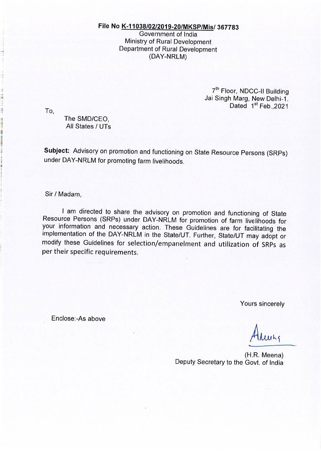# File No K-11038/02/2019-20/MKSP/Mis/ 367783

Government of India Ministry of Rural Development Department of Rural Development (DAY-NRLM)

> 7<sup>th</sup> Floor, NDCC-II Building Jai Singh Marg, New Delhi-1. Dated 1<sup>st</sup> Feb., 2021

To.

The SMD/CEO. All States / UTs

Subject: Advisory on promotion and functioning on State Resource Persons (SRPs) under DAY-NRLM for promoting farm livelihoods.

Sir / Madam,

I am directed to share the advisory on promotion and functioning of State Resource Persons (SRPs) under DAY-NRLM for promotion of farm livelihoods for your information and necessary action. These Guidelines are for facilitating the implementation of the DAY-NRLM in the State/UT. Further, State/UT may adopt or modify these Guidelines for selection/empanelment and utilization of SRPs as per their specific requirements.

Yours sincerely

Enclose:-As above

(H.R. Meena) Deputy Secretary to the Govt. of India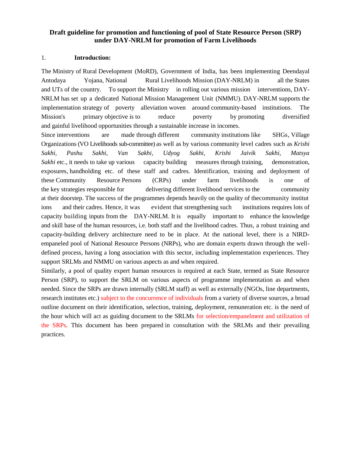### **Draft guideline for promotion and functioning of pool of State Resource Person (SRP) under DAY-NRLM for promotion of Farm Livelihoods**

#### 1. **Introduction:**

The Ministry of Rural Development (MoRD), Government of India, has been implementing Deendayal Antodaya Yojana, National Rural Livelihoods Mission (DAY-NRLM) in all the States and UTs of the country. To support the Ministry in rolling out various mission interventions, DAY-NRLM has set up a dedicated National Mission Management Unit (NMMU). DAY-NRLM supports the implementation strategy of poverty alleviation woven around community-based institutions. The Mission's primary objective is to reduce poverty by promoting diversified and gainful livelihood opportunities through a sustainable increase in incomes.

Since interventions are made through different community institutions like SHGs, Village Organizations (VO Livelihoods sub-committee) as well as by various community level cadres such as *Krishi Sakhi, Pashu Sakhi, Van Sakhi, Udyog Sakhi, Krishi Jaivik Sakhi, Matsya Sakhi* etc., it needs to take up various capacity building measures through training, demonstration, exposures, handholding etc. of these staff and cadres. Identification, training and deployment of these Community Resource Persons (CRPs) under farm livelihoods is one of the key strategies responsible for delivering different livelihood services to the community at their doorstep. The success of the programmes depends heavily on the quality of thecommunity institut ions and their cadres. Hence, it was evident that strengthening such institutions requires lots of capacity building inputs from the DAY-NRLM. It is equally important to enhance the knowledge and skill base of the human resources, i.e. both staff and the livelihood cadres. Thus, a robust training and capacity-building delivery architecture need to be in place. At the national level, there is a NIRDempaneled pool of National Resource Persons (NRPs), who are domain experts drawn through the welldefined process, having a long association with this sector, including implementation experiences. They support SRLMs and NMMU on various aspects as and when required.

Similarly, a pool of quality expert human resources is required at each State, termed as State Resource Person (SRP), to support the SRLM on various aspects of programme implementation as and when needed. Since the SRPs are drawn internally (SRLM staff) as well as externally (NGOs, line departments, research institutes etc.) subject to the concurrence of individuals from a variety of diverse sources, a broad outline document on their identification, selection, training, deployment, remuneration etc. is the need of the hour which will act as guiding document to the SRLMs for selection/empanelment and utilization of the SRPs. This document has been prepared in consultation with the SRLMs and their prevailing practices.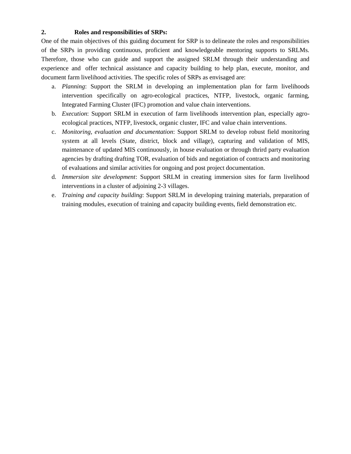### **2. Roles and responsibilities of SRPs:**

One of the main objectives of this guiding document for SRP is to delineate the roles and responsibilities of the SRPs in providing continuous, proficient and knowledgeable mentoring supports to SRLMs. Therefore, those who can guide and support the assigned SRLM through their understanding and experience and offer technical assistance and capacity building to help plan, execute, monitor, and document farm livelihood activities. The specific roles of SRPs as envisaged are:

- a. *Planning*: Support the SRLM in developing an implementation plan for farm livelihoods intervention specifically on agro-ecological practices, NTFP, livestock, organic farming, Integrated Farming Cluster (IFC) promotion and value chain interventions.
- b. *Execution*: Support SRLM in execution of farm livelihoods intervention plan, especially agroecological practices, NTFP, livestock, organic cluster, IFC and value chain interventions.
- c. *Monitoring, evaluation and documentation*: Support SRLM to develop robust field monitoring system at all levels (State, district, block and village), capturing and validation of MIS, maintenance of updated MIS continuously, in house evaluation or through thrird party evaluation agencies by drafting drafting TOR, evaluation of bids and negotiation of contracts and monitoring of evaluations and similar activities for ongoing and post project documentation.
- d. *Immersion site development*: Support SRLM in creating immersion sites for farm livelihood interventions in a cluster of adjoining 2-3 villages.
- e. *Training and capacity building*: Support SRLM in developing training materials, preparation of training modules, execution of training and capacity building events, field demonstration etc.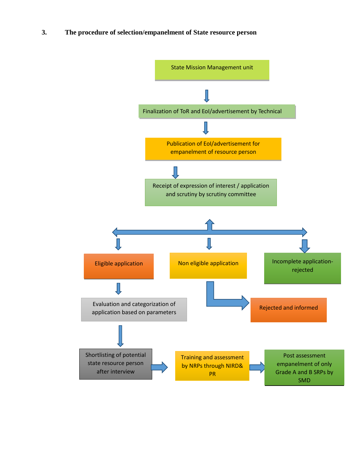**3. The procedure of selection/empanelment of State resource person**

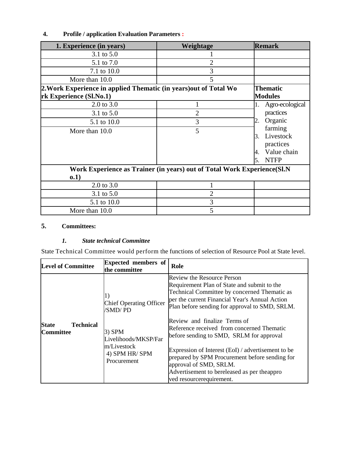# **4. Profile / application Evaluation Parameters :**

| 1. Experience (in years)                                                 | Weightage       | <b>Remark</b>     |  |  |
|--------------------------------------------------------------------------|-----------------|-------------------|--|--|
| 3.1 to 5.0                                                               |                 |                   |  |  |
| 5.1 to 7.0                                                               | 2               |                   |  |  |
| 7.1 to 10.0                                                              | 3               |                   |  |  |
| More than 10.0                                                           | 5               |                   |  |  |
| 2. Work Experience in applied Thematic (in years) out of Total Wo        | <b>Thematic</b> |                   |  |  |
| rk Experience (Sl.No.1)                                                  |                 | <b>Modules</b>    |  |  |
| 2.0 to 3.0                                                               |                 | Agro-ecological   |  |  |
| 3.1 to 5.0                                                               | 2               | practices         |  |  |
| 5.1 to 10.0                                                              | 3               | Organic<br>2.     |  |  |
| More than 10.0                                                           | 5               | farming           |  |  |
|                                                                          |                 | Livestock<br>3.   |  |  |
|                                                                          |                 | practices         |  |  |
|                                                                          |                 | Value chain<br>4. |  |  |
|                                                                          |                 | <b>NTFP</b>       |  |  |
| Work Experience as Trainer (in years) out of Total Work Experience (Sl.N |                 |                   |  |  |
| 0.1)                                                                     |                 |                   |  |  |
| 2.0 to 3.0                                                               |                 |                   |  |  |
| 3.1 to 5.0                                                               | 2               |                   |  |  |
| 5.1 to 10.0                                                              | 3               |                   |  |  |
| More than 10.0                                                           | 5               |                   |  |  |

# **5. Committees:**

### *1. State technical Committee*

State Technical Committee would perform the functions of selection of Resource Pool at State level.

| <b>Level of Committee</b>                            | <b>Expected members of</b><br>the committee                                     | Role                                                                                                                                                                                                                                                                                                |
|------------------------------------------------------|---------------------------------------------------------------------------------|-----------------------------------------------------------------------------------------------------------------------------------------------------------------------------------------------------------------------------------------------------------------------------------------------------|
|                                                      | <b>Chief Operating Officer</b><br>/SMD/ PD                                      | <b>Review the Resource Person</b><br>Requirement Plan of State and submit to the<br>Technical Committee by concerned Thematic as<br>per the current Financial Year's Annual Action<br>Plan before sending for approval to SMD, SRLM.<br>Review and finalize Terms of                                |
| <b>State</b><br><b>Technical</b><br><b>Committee</b> | $3)$ SPM<br>Livelihoods/MKSP/Far<br>m/Livestock<br>4) SPM HR/SPM<br>Procurement | Reference received from concerned Thematic<br>before sending to SMD, SRLM for approval<br>Expression of Interest (EoI) / advertisement to be<br>prepared by SPM Procurement before sending for<br>approval of SMD, SRLM.<br>Advertisement to bereleased as per theappro<br>ved resourcerequirement. |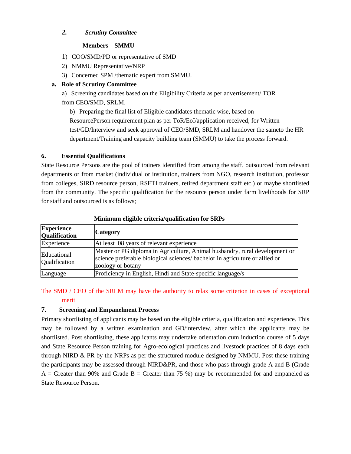### *2. Scrutiny Committee*

#### **Members – SMMU**

- 1) COO/SMD/PD or representative of SMD
- 2) NMMU Representative/NRP
- 3) Concerned SPM /thematic expert from SMMU.

### **a. Role of Scrutiny Committee**

a) Screening candidates based on the Eligibility Criteria as per advertisement/ TOR from CEO/SMD, SRLM.

b) Preparing the final list of Eligible candidates thematic wise, based on ResourcePerson requirement plan as per ToR/EoI/application received, for Written test/GD/Interview and seek approval of CEO/SMD, SRLM and handover the sameto the HR department/Training and capacity building team (SMMU) to take the process forward.

### **6. Essential Qualifications**

State Resource Persons are the pool of trainers identified from among the staff, outsourced from relevant departments or from market (individual or institution, trainers from NGO, research institution, professor from colleges, SIRD resource person, RSETI trainers, retired department staff etc.) or maybe shortlisted from the community. The specific qualification for the resource person under farm livelihoods for SRP for staff and outsourced is as follows;

| <b>Experience</b><br><b>Qualification</b> | <b>Category</b>                                                                                                                                                                  |
|-------------------------------------------|----------------------------------------------------------------------------------------------------------------------------------------------------------------------------------|
| Experience                                | At least 08 years of relevant experience                                                                                                                                         |
| Educational<br>Qualification              | Master or PG diploma in Agriculture, Animal husbandry, rural development or<br>science preferable biological sciences/ bachelor in agriculture or allied or<br>zoology or botany |
| Language                                  | Proficiency in English, Hindi and State-specific language/s                                                                                                                      |

#### **Minimum eligible criteria/qualification for SRPs**

# The SMD / CEO of the SRLM may have the authority to relax some criterion in cases of exceptional merit

#### **7. Screening and Empanelment Process**

Primary shortlisting of applicants may be based on the eligible criteria, qualification and experience. This may be followed by a written examination and GD/interview, after which the applicants may be shortlisted. Post shortlisting, these applicants may undertake orientation cum induction course of 5 days and State Resource Person training for Agro-ecological practices and livestock practices of 8 days each through NIRD & PR by the NRPs as per the structured module designed by NMMU. Post these training the participants may be assessed through NIRD&PR, and those who pass through grade A and B (Grade  $A =$  Greater than 90% and Grade B = Greater than 75 %) may be recommended for and empaneled as State Resource Person.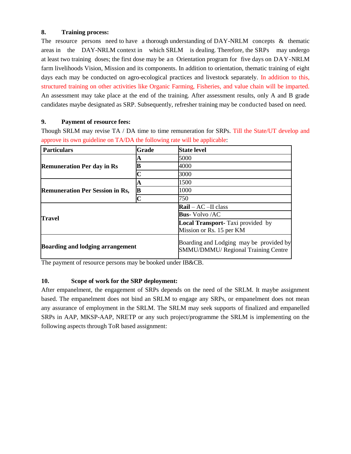### **8. Training process:**

The resource persons need to have a thorough understanding of DAY-NRLM concepts & thematic areas in the DAY-NRLM context in which SRLM is dealing. Therefore, the SRPs may undergo at least two training doses; the first dose may be an Orientation program for five days on DAY-NRLM farm livelihoods Vision, Mission and its components. In addition to orientation, thematic training of eight days each may be conducted on agro-ecological practices and livestock separately. In addition to this, structured training on other activities like Organic Farming, Fisheries, and value chain will be imparted. An assessment may take place at the end of the training. After assessment results, only A and B grade candidates maybe designated as SRP. Subsequently, refresher training may be conducted based on need.

### **9. Payment of resource fees:**

Though SRLM may revise TA / DA time to time remuneration for SRPs. Till the State/UT develop and approve its own guideline on TA/DA the following rate will be applicable:

| <b>Particulars</b>                      | Grade | <b>State level</b>                                                             |
|-----------------------------------------|-------|--------------------------------------------------------------------------------|
| <b>Remuneration Per day in Rs</b>       |       | 5000                                                                           |
|                                         |       | 4000                                                                           |
|                                         | r     | 3000                                                                           |
| <b>Remuneration Per Session in Rs,</b>  | A     | 1500                                                                           |
|                                         | B     | 1000                                                                           |
|                                         | ∩     | 750                                                                            |
|                                         |       | $\bf{Rail}$ – AC –II class                                                     |
| <b>Travel</b>                           |       | <b>Bus-</b> Volvo /AC                                                          |
|                                         |       | <b>Local Transport-</b> Taxi provided by<br>Mission or Rs. 15 per KM           |
| <b>Boarding and lodging arrangement</b> |       | Boarding and Lodging may be provided by<br>SMMU/DMMU/ Regional Training Centre |

The payment of resource persons may be booked under IB&CB.

### **10. Scope of work for the SRP deployment:**

After empanelment, the engagement of SRPs depends on the need of the SRLM. It maybe assignment based. The empanelment does not bind an SRLM to engage any SRPs, or empanelment does not mean any assurance of employment in the SRLM. The SRLM may seek supports of finalized and empanelled SRPs in AAP, MKSP-AAP, NRETP or any such project/programme the SRLM is implementing on the following aspects through ToR based assignment: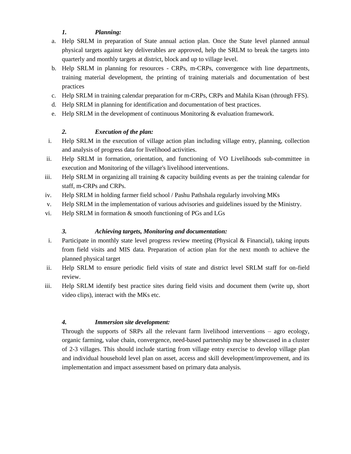# *1. Planning:*

- a. Help SRLM in preparation of State annual action plan. Once the State level planned annual physical targets against key deliverables are approved, help the SRLM to break the targets into quarterly and monthly targets at district, block and up to village level.
- b. Help SRLM in planning for resources CRPs, m-CRPs, convergence with line departments, training material development, the printing of training materials and documentation of best practices
- c. Help SRLM in training calendar preparation for m-CRPs, CRPs and Mahila Kisan (through FFS).
- d. Help SRLM in planning for identification and documentation of best practices.
- e. Help SRLM in the development of continuous Monitoring & evaluation framework.

## *2. Execution of the plan:*

- i. Help SRLM in the execution of village action plan including village entry, planning, collection and analysis of progress data for livelihood activities.
- ii. Help SRLM in formation, orientation, and functioning of VO Livelihoods sub-committee in execution and Monitoring of the village's livelihood interventions.
- iii. Help SRLM in organizing all training & capacity building events as per the training calendar for staff, m-CRPs and CRPs.
- iv. Help SRLM in holding farmer field school / Pashu Pathshala regularly involving MKs
- v. Help SRLM in the implementation of various advisories and guidelines issued by the Ministry.
- vi. Help SRLM in formation & smooth functioning of PGs and LGs

### *3. Achieving targets, Monitoring and documentation:*

- i. Participate in monthly state level progress review meeting (Physical  $\&$  Financial), taking inputs from field visits and MIS data. Preparation of action plan for the next month to achieve the planned physical target
- ii. Help SRLM to ensure periodic field visits of state and district level SRLM staff for on-field review.
- iii. Help SRLM identify best practice sites during field visits and document them (write up, short video clips), interact with the MKs etc.

### *4. Immersion site development:*

Through the supports of SRPs all the relevant farm livelihood interventions – agro ecology, organic farming, value chain, convergence, need-based partnership may be showcased in a cluster of 2-3 villages. This should include starting from village entry exercise to develop village plan and individual household level plan on asset, access and skill development/improvement, and its implementation and impact assessment based on primary data analysis.